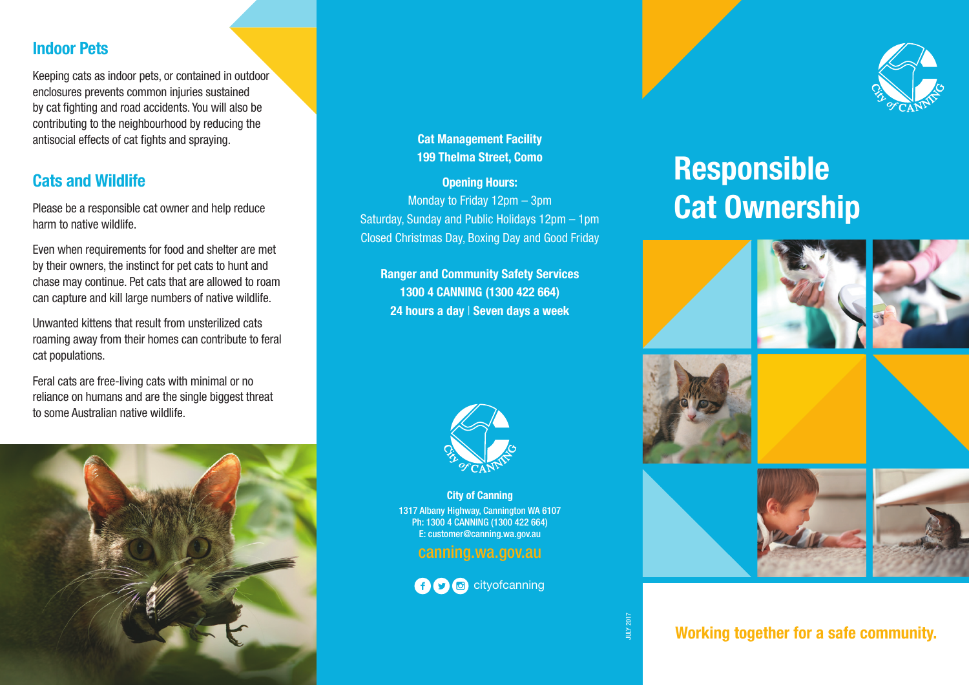#### **Indoor Pets**

Keeping cats as indoor pets, or contained in outdoor enclosures prevents common injuries sustained by cat fighting and road accidents. You will also be contributing to the neighbourhood by reducing the antisocial effects of cat fights and spraying.

#### **Cats and Wildlife**

Please be a responsible cat owner and help reduce harm to native wildlife.

Even when requirements for food and shelter are met by their owners, the instinct for pet cats to hunt and chase may continue. Pet cats that are allowed to roam can capture and kill large numbers of native wildlife.

Unwanted kittens that result from unsterilized cats roaming away from their homes can contribute to feral cat populations.

Feral cats are free-living cats with minimal or no reliance on humans and are the single biggest threat to some Australian native wildlife.



**Cat Management Facility 199 Thelma Street, Como**

**Opening Hours:** Monday to Friday 12pm – 3pm Saturday, Sunday and Public Holidays 12pm – 1pm Closed Christmas Day, Boxing Day and Good Friday

**Ranger and Community Safety Services 1300 4 CANNING (1300 422 664) 24 hours a day** | **Seven days a week**



**City of Canning** 1317 Albany Highway, Cannington WA 6107 Ph: 1300 4 CANNING (1300 422 664) E: customer@canning.wa.gov.au

#### canning.wa.gov.au





# **Responsible Cat Ownership**